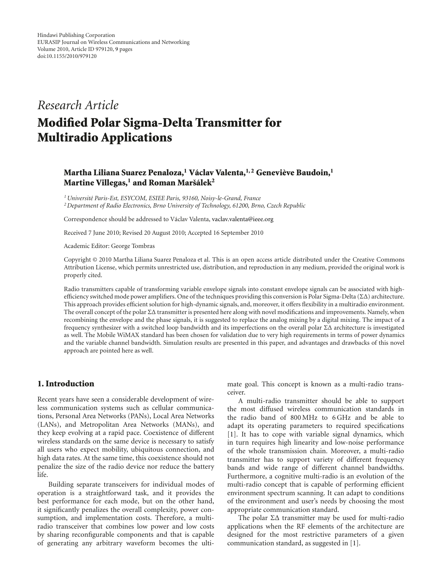# *Research Article*

# **Modified Polar Sigma-Delta Transmitter for Multiradio Applications**

# **Martha Liliana Suarez Penaloza,1 Vaclav Valenta, ´ 1, 2 Genevieve Baudoin, ` <sup>1</sup> Martine Villegas,<sup>1</sup> and Roman Maršálek<sup>2</sup>**

*1Universit´e Paris-Est, ESYCOM, ESIEE Paris, 93160, Noisy-le-Grand, France 2Department of Radio Electronics, Brno University of Technology, 61200, Brno, Czech Republic*

Correspondence should be addressed to Václav Valenta, vaclav.valenta@ieee.org

Received 7 June 2010; Revised 20 August 2010; Accepted 16 September 2010

Academic Editor: George Tombras

Copyright © 2010 Martha Liliana Suarez Penaloza et al. This is an open access article distributed under the Creative Commons Attribution License, which permits unrestricted use, distribution, and reproduction in any medium, provided the original work is properly cited.

Radio transmitters capable of transforming variable envelope signals into constant envelope signals can be associated with highefficiency switched mode power amplifiers. One of the techniques providing this conversion is Polar Sigma-Delta ( $\Sigma\Delta$ ) architecture. This approach provides efficient solution for high-dynamic signals, and, moreover, it offers flexibility in a multiradio environment. The overall concept of the polar ΣΔ transmitter is presented here along with novel modifications and improvements. Namely, when recombining the envelope and the phase signals, it is suggested to replace the analog mixing by a digital mixing. The impact of a frequency synthesizer with a switched loop bandwidth and its imperfections on the overall polar ΣΔ architecture is investigated as well. The Mobile WiMAX standard has been chosen for validation due to very high requirements in terms of power dynamics and the variable channel bandwidth. Simulation results are presented in this paper, and advantages and drawbacks of this novel approach are pointed here as well.

#### **1. Introduction**

Recent years have seen a considerable development of wireless communication systems such as cellular communications, Personal Area Networks (PANs), Local Area Networks (LANs), and Metropolitan Area Networks (MANs), and they keep evolving at a rapid pace. Coexistence of different wireless standards on the same device is necessary to satisfy all users who expect mobility, ubiquitous connection, and high data rates. At the same time, this coexistence should not penalize the size of the radio device nor reduce the battery life.

Building separate transceivers for individual modes of operation is a straightforward task, and it provides the best performance for each mode, but on the other hand, it significantly penalizes the overall complexity, power consumption, and implementation costs. Therefore, a multiradio transceiver that combines low power and low costs by sharing reconfigurable components and that is capable of generating any arbitrary waveform becomes the ultimate goal. This concept is known as a multi-radio transceiver.

A multi-radio transmitter should be able to support the most diffused wireless communication standards in the radio band of 800 MHz to 6 GHz and be able to adapt its operating parameters to required specifications [1]. It has to cope with variable signal dynamics, which in turn requires high linearity and low-noise performance of the whole transmission chain. Moreover, a multi-radio transmitter has to support variety of different frequency bands and wide range of different channel bandwidths. Furthermore, a cognitive multi-radio is an evolution of the multi-radio concept that is capable of performing efficient environment spectrum scanning. It can adapt to conditions of the environment and user's needs by choosing the most appropriate communication standard.

The polar ΣΔ transmitter may be used for multi-radio applications when the RF elements of the architecture are designed for the most restrictive parameters of a given communication standard, as suggested in [1].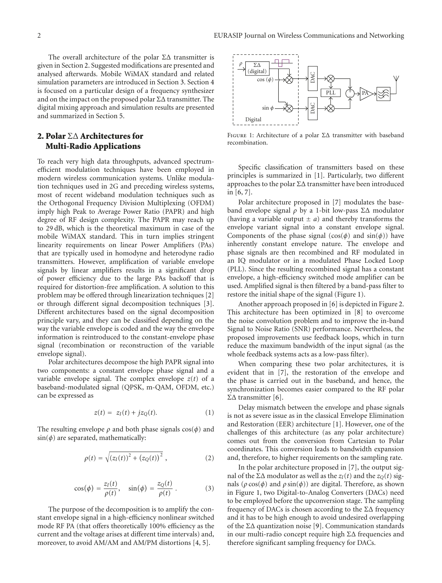The overall architecture of the polar ΣΔ transmitter is given in Section 2. Suggested modifications are presented and analysed afterwards. Mobile WiMAX standard and related simulation parameters are introduced in Section 3. Section 4 is focused on a particular design of a frequency synthesizer and on the impact on the proposed polar  $\Sigma\Delta$  transmitter. The digital mixing approach and simulation results are presented and summarized in Section 5.

# **2. Polar** ΣΔ **Architectures for Multi-Radio Applications**

To reach very high data throughputs, advanced spectrumefficient modulation techniques have been employed in modern wireless communication systems. Unlike modulation techniques used in 2G and preceding wireless systems, most of recent wideband modulation techniques such as the Orthogonal Frequency Division Multiplexing (OFDM) imply high Peak to Average Power Ratio (PAPR) and high degree of RF design complexity. The PAPR may reach up to 29 dB, which is the theoretical maximum in case of the mobile WiMAX standard. This in turn implies stringent linearity requirements on linear Power Amplifiers (PAs) that are typically used in homodyne and heterodyne radio transmitters. However, amplification of variable envelope signals by linear amplifiers results in a significant drop of power efficiency due to the large PAs backoff that is required for distortion-free amplification. A solution to this problem may be offered through linearization techniques [2] or through different signal decomposition techniques [3]. Different architectures based on the signal decomposition principle vary, and they can be classified depending on the way the variable envelope is coded and the way the envelope information is reintroduced to the constant-envelope phase signal (recombination or reconstruction of the variable envelope signal).

Polar architectures decompose the high PAPR signal into two components: a constant envelope phase signal and a variable envelope signal. The complex envelope  $z(t)$  of a baseband-modulated signal (QPSK, m-QAM, OFDM, etc.) can be expressed as

$$
z(t) = zI(t) + jzQ(t).
$$
 (1)

The resulting envelope  $\rho$  and both phase signals  $cos(\phi)$  and  $sin(\phi)$  are separated, mathematically:

$$
\rho(t) = \sqrt{(z_I(t))^2 + (z_Q(t))^2} \,, \tag{2}
$$

$$
\cos(\phi) = \frac{z_I(t)}{\rho(t)}, \quad \sin(\phi) = \frac{z_Q(t)}{\rho(t)}.
$$
 (3)

The purpose of the decomposition is to amplify the constant envelope signal in a high-efficiency nonlinear switched mode RF PA (that offers theoretically 100% efficiency as the current and the voltage arises at different time intervals) and, moreover, to avoid AM/AM and AM/PM distortions [4, 5].



Figure 1: Architecture of a polar ΣΔ transmitter with baseband recombination.

Specific classification of transmitters based on these principles is summarized in [1]. Particularly, two different approaches to the polar ΣΔ transmitter have been introduced in [6, 7].

Polar architecture proposed in [7] modulates the baseband envelope signal *ρ* by a 1-bit low-pass ΣΔ modulator (having a variable output  $\pm a$ ) and thereby transforms the envelope variant signal into a constant envelope signal. Components of the phase signal  $(cos(\phi)$  and  $sin(\phi))$  have inherently constant envelope nature. The envelope and phase signals are then recombined and RF modulated in an IQ modulator or in a modulated Phase Locked Loop (PLL). Since the resulting recombined signal has a constant envelope, a high-efficiency switched mode amplifier can be used. Amplified signal is then filtered by a band-pass filter to restore the initial shape of the signal (Figure 1).

Another approach proposed in [6] is depicted in Figure 2. This architecture has been optimized in [8] to overcome the noise convolution problem and to improve the in-band Signal to Noise Ratio (SNR) performance. Nevertheless, the proposed improvements use feedback loops, which in turn reduce the maximum bandwidth of the input signal (as the whole feedback systems acts as a low-pass filter).

When comparing these two polar architectures, it is evident that in [7], the restoration of the envelope and the phase is carried out in the baseband, and hence, the synchronization becomes easier compared to the RF polar ΣΔ transmitter [6].

Delay mismatch between the envelope and phase signals is not as severe issue as in the classical Envelope Elimination and Restoration (EER) architecture [1]. However, one of the challenges of this architecture (as any polar architecture) comes out from the conversion from Cartesian to Polar coordinates. This conversion leads to bandwidth expansion and, therefore, to higher requirements on the sampling rate.

In the polar architecture proposed in [7], the output signal of the  $\Sigma\Delta$  modulator as well as the  $z_I(t)$  and the  $z_O(t)$  signals ( $ρ \cos(φ)$  and  $ρ \sin(φ)$ ) are digital. Therefore, as shown in Figure 1, two Digital-to-Analog Converters (DACs) need to be employed before the upconversion stage. The sampling frequency of DACs is chosen according to the ΣΔ frequency and it has to be high enough to avoid undesired overlapping of the ΣΔ quantization noise [9]. Communication standards in our multi-radio concept require high ΣΔ frequencies and therefore significant sampling frequency for DACs.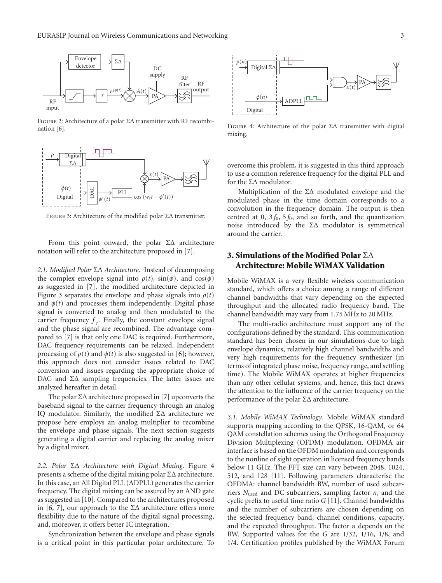

Figure 2: Architecture of a polar ΣΔ transmitter with RF recombination [6].



Figure 3: Architecture of the modified polar ΣΔ transmitter.

From this point onward, the polar  $\Sigma\Delta$  architecture notation will refer to the architecture proposed in [7].

*2.1. Modified Polar* ΣΔ *Architecture.* Instead of decomposing the complex envelope signal into  $\rho(t)$ ,  $\sin(\phi)$ , and  $\cos(\phi)$ as suggested in [7], the modified architecture depicted in Figure 3 separates the envelope and phase signals into  $\rho(t)$ and  $\phi(t)$  and processes them independently. Digital phase signal is converted to analog and then modulated to the carrier frequency  $f_c$ . Finally, the constant envelope signal and the phase signal are recombined. The advantage compared to [7] is that only one DAC is required. Furthermore, DAC frequency requirements can be relaxed. Independent processing of  $\rho(t)$  and  $\phi(t)$  is also suggested in [6]; however, this approach does not consider issues related to DAC conversion and issues regarding the appropriate choice of DAC and  $\Sigma\Delta$  sampling frequencies. The latter issues are analyzed hereafter in detail.

The polar ΣΔ architecture proposed in [7] upconverts the baseband signal to the carrier frequency through an analog IQ modulator. Similarly, the modified ΣΔ architecture we propose here employs an analog multiplier to recombine the envelope and phase signals. The next section suggests generating a digital carrier and replacing the analog mixer by a digital mixer.

*2.2. Polar* ΣΔ *Architecture with Digital Mixing.* Figure 4 presents a scheme of the digital mixing polar ΣΔ architecture. In this case, an All Digital PLL (ADPLL) generates the carrier frequency. The digital mixing can be assured by an AND gate as suggested in [10]. Compared to the architectures proposed in [6, 7], our approach to the  $\Sigma\Delta$  architecture offers more flexibility due to the nature of the digital signal processing, and, moreover, it offers better IC integration.

Synchronization between the envelope and phase signals is a critical point in this particular polar architecture. To



FIGURE 4: Architecture of the polar  $\Sigma\Delta$  transmitter with digital mixing.

overcome this problem, it is suggested in this third approach to use a common reference frequency for the digital PLL and for the ΣΔ modulator.

Multiplication of the  $ΣΔ$  modulated envelope and the modulated phase in the time domain corresponds to a convolution in the frequency domain. The output is then centred at 0,  $3f_0$ ,  $5f_0$ , and so forth, and the quantization noise introduced by the  $ΣΔ$  modulator is symmetrical around the carrier.

# **3. Simulations of the Modified Polar** ΣΔ **Architecture: Mobile WiMAX Validation**

Mobile WiMAX is a very flexible wireless communication standard, which offers a choice among a range of different channel bandwidths that vary depending on the expected throughput and the allocated radio frequency band. The channel bandwidth may vary from 1.75 MHz to 20 MHz.

The multi-radio architecture must support any of the configurations defined by the standard. This communication standard has been chosen in our simulations due to high envelope dynamics, relatively high channel bandwidths and very high requirements for the frequency synthesizer (in terms of integrated phase noise, frequency range, and settling time). The Mobile WiMAX operates at higher frequencies than any other cellular systems, and, hence, this fact draws the attention to the influence of the carrier frequency on the performance of the polar ΣΔ architecture.

*3.1. Mobile WiMAX Technology.* Mobile WiMAX standard supports mapping according to the QPSK, 16-QAM, or 64 QAM constellation schemes using the Orthogonal Frequency Division Multiplexing (OFDM) modulation. OFDMA air interface is based on the OFDM modulation and corresponds to the nonline of sight operation in licensed frequency bands below 11 GHz. The FFT size can vary between 2048, 1024, 512, and 128 [11]. Following parameters characterise the OFDMA: channel bandwidth BW, number of used subcarriers *N*used and DC subcarriers, sampling factor *n*, and the cyclic prefix to useful time ratio *G* [11]. Channel bandwidths and the number of subcarriers are chosen depending on the selected frequency band, channel conditions, capacity, and the expected throughput. The factor *n* depends on the BW. Supported values for the *G* are 1/32, 1/16, 1/8, and 1/4. Certification profiles published by the WiMAX Forum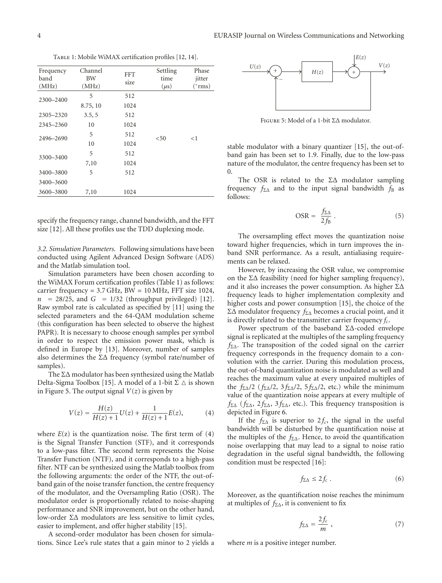TABLE 1: Mobile WiMAX certification profiles [12, 14].

| Frequency<br>band<br>(MHz) | Channel<br><b>BW</b><br>(MHz) | <b>FFT</b><br>size | Settling<br>time<br>$(\mu s)$ | Phase<br>jitter<br>("rms) |
|----------------------------|-------------------------------|--------------------|-------------------------------|---------------------------|
| 2300-2400                  | 5                             | 512                |                               | $<$ 1                     |
|                            | 8.75, 10                      | 1024               |                               |                           |
| 2305-2320                  | 3.5, 5                        | 512                |                               |                           |
| 2345-2360                  | 10                            | 1024               |                               |                           |
| 2496-2690                  | 5                             | 512                | $50$                          |                           |
|                            | 10                            | 1024               |                               |                           |
| 3300-3400                  | 5                             | 512                |                               |                           |
|                            | 7,10                          | 1024               |                               |                           |
| 3400-3800                  | 5                             | 512                |                               |                           |
| 3400-3600                  |                               |                    |                               |                           |
| 3600-3800                  | 7,10                          | 1024               |                               |                           |
|                            |                               |                    |                               |                           |

specify the frequency range, channel bandwidth, and the FFT size [12]. All these profiles use the TDD duplexing mode.

*3.2. Simulation Parameters.* Following simulations have been conducted using Agilent Advanced Design Software (ADS) and the Matlab simulation tool.

Simulation parameters have been chosen according to the WiMAX Forum certification profiles (Table 1) as follows: carrier frequency = 3.7 GHz, BW = 10 MHz, FFT size 1024,  $n = 28/25$ , and  $G = 1/32$  (throughput privileged) [12]. Raw symbol rate is calculated as specified by [11] using the selected parameters and the 64-QAM modulation scheme (this configuration has been selected to observe the highest PAPR). It is necessary to choose enough samples per symbol in order to respect the emission power mask, which is defined in Europe by [13]. Moreover, number of samples also determines the ΣΔ frequency (symbol rate/number of samples).

The ΣΔ modulator has been synthesized using the Matlab Delta-Sigma Toolbox [15]. A model of a 1-bit  $\Sigma \vartriangle$  is shown in Figure 5. The output signal  $V(z)$  is given by

$$
V(z) = \frac{H(z)}{H(z) + 1}U(z) + \frac{1}{H(z) + 1}E(z),
$$
 (4)

where  $E(z)$  is the quantization noise. The first term of  $(4)$ is the Signal Transfer Function (STF), and it corresponds to a low-pass filter. The second term represents the Noise Transfer Function (NTF), and it corresponds to a high-pass filter. NTF can be synthesized using the Matlab toolbox from the following arguments: the order of the NTF, the out-ofband gain of the noise transfer function, the centre frequency of the modulator, and the Oversampling Ratio (OSR). The modulator order is proportionally related to noise-shaping performance and SNR improvement, but on the other hand, low-order ΣΔ modulators are less sensitive to limit cycles, easier to implement, and offer higher stability [15].

A second-order modulator has been chosen for simulations. Since Lee's rule states that a gain minor to 2 yields a



Figure 5: Model of a 1-bit ΣΔ modulator.

stable modulator with a binary quantizer [15], the out-ofband gain has been set to 1.9. Finally, due to the low-pass nature of the modulator, the centre frequency has been set to 0.

The OSR is related to the  $\Sigma\Delta$  modulator sampling frequency  $f_{\Sigma\Delta}$  and to the input signal bandwidth  $f_B$  as follows:

$$
\text{OSR} = \frac{f_{\Sigma\Delta}}{2f_{\mathrm{B}}} \,. \tag{5}
$$

The oversampling effect moves the quantization noise toward higher frequencies, which in turn improves the inband SNR performance. As a result, antialiasing requirements can be relaxed.

However, by increasing the OSR value, we compromise on the  $\Sigma\Delta$  feasibility (need for higher sampling frequency), and it also increases the power consumption. As higher ΣΔ frequency leads to higher implementation complexity and higher costs and power consumption [15], the choice of the ΣΔ modulator frequency *f*ΣΔ becomes a crucial point, and it is directly related to the transmitter carrier frequency *fc*.

Power spectrum of the baseband ΣΔ-coded envelope signal is replicated at the multiples of the sampling frequency *f*ΣΔ. The transposition of the coded signal on the carrier frequency corresponds in the frequency domain to a convolution with the carrier. During this modulation process, the out-of-band quantization noise is modulated as well and reaches the maximum value at every unpaired multiples of the *f*ΣΔ/2 (*f*ΣΔ/2, 3 *f*ΣΔ/2, 5 *f*ΣΔ/2, etc.) while the minimum value of the quantization noise appears at every multiple of *f*ΣΔ (*f*ΣΔ, 2 *f*ΣΔ, 3 *f*ΣΔ, etc.). This frequency transposition is depicted in Figure 6.

If the  $f_{\Sigma\Delta}$  is superior to  $2f_c$ , the signal in the useful bandwidth will be disturbed by the quantification noise at the multiples of the *f*ΣΔ. Hence, to avoid the quantification noise overlapping that may lead to a signal to noise ratio degradation in the useful signal bandwidth, the following condition must be respected [16]:

$$
f_{\Sigma\Delta} \le 2f_c \ . \tag{6}
$$

Moreover, as the quantification noise reaches the minimum at multiples of *f*ΣΔ, it is convenient to fix

$$
f_{\Sigma\Delta} = \frac{2f_c}{m} \,,\tag{7}
$$

where *m* is a positive integer number.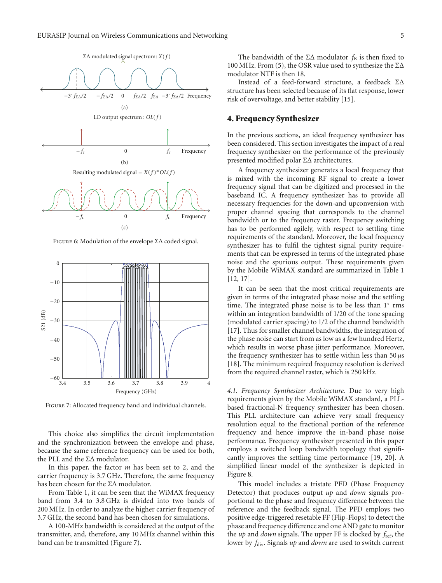

Figure 6: Modulation of the envelope ΣΔ coded signal.



Figure 7: Allocated frequency band and individual channels.

This choice also simplifies the circuit implementation and the synchronization between the envelope and phase, because the same reference frequency can be used for both, the PLL and the ΣΔ modulator.

In this paper, the factor *m* has been set to 2, and the carrier frequency is 3.7 GHz. Therefore, the same frequency has been chosen for the ΣΔ modulator.

From Table 1, it can be seen that the WiMAX frequency band from 3.4 to 3.8 GHz is divided into two bands of 200 MHz. In order to analyze the higher carrier frequency of 3.7 GHz, the second band has been chosen for simulations.

A 100-MHz bandwidth is considered at the output of the transmitter, and, therefore, any 10 MHz channel within this band can be transmitted (Figure 7).

Instead of a feed-forward structure, a feedback ΣΔ structure has been selected because of its flat response, lower risk of overvoltage, and better stability [15].

#### **4. Frequency Synthesizer**

In the previous sections, an ideal frequency synthesizer has been considered. This section investigates the impact of a real frequency synthesizer on the performance of the previously presented modified polar ΣΔ architectures.

A frequency synthesizer generates a local frequency that is mixed with the incoming RF signal to create a lower frequency signal that can be digitized and processed in the baseband IC. A frequency synthesizer has to provide all necessary frequencies for the down-and upconversion with proper channel spacing that corresponds to the channel bandwidth or to the frequency raster. Frequency switching has to be performed agilely, with respect to settling time requirements of the standard. Moreover, the local frequency synthesizer has to fulfil the tightest signal purity requirements that can be expressed in terms of the integrated phase noise and the spurious output. These requirements given by the Mobile WiMAX standard are summarized in Table 1 [12, 17].

It can be seen that the most critical requirements are given in terms of the integrated phase noise and the settling time. The integrated phase noise is to be less than 1◦ rms within an integration bandwidth of 1/20 of the tone spacing (modulated carrier spacing) to 1*/*2 of the channel bandwidth [17]. Thus for smaller channel bandwidths, the integration of the phase noise can start from as low as a few hundred Hertz, which results in worse phase jitter performance. Moreover, the frequency synthesizer has to settle within less than 50 *μ*s [18]. The minimum required frequency resolution is derived from the required channel raster, which is 250 kHz.

*4.1. Frequency Synthesizer Architecture.* Due to very high requirements given by the Mobile WiMAX standard, a PLLbased fractional-N frequency synthesizer has been chosen. This PLL architecture can achieve very small frequency resolution equal to the fractional portion of the reference frequency and hence improve the in-band phase noise performance. Frequency synthesizer presented in this paper employs a switched loop bandwidth topology that significantly improves the settling time performance [19, 20]. A simplified linear model of the synthesizer is depicted in Figure 8.

This model includes a tristate PFD (Phase Frequency Detector) that produces output *up* and *down* signals proportional to the phase and frequency difference between the reference and the feedback signal. The PFD employs two positive edge-triggered resetable FF (Flip-Flops) to detect the phase and frequency difference and one AND gate to monitor the *up* and *down* signals. The upper FF is clocked by *f*ref, the lower by *f*div. Signals *up* and *down* are used to switch current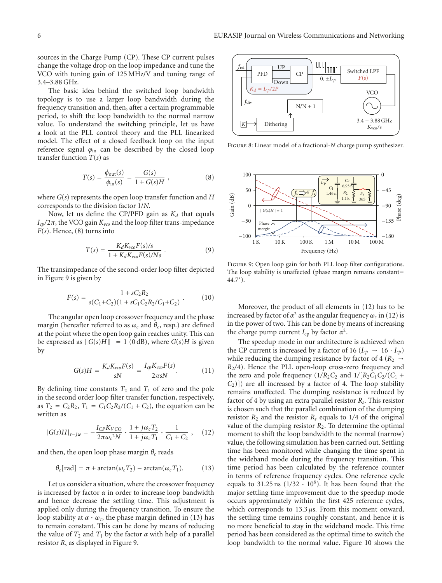sources in the Charge Pump (CP). These CP current pulses change the voltage drop on the loop impedance and tune the VCO with tuning gain of 125 MHz/V and tuning range of 3.4–3.88 GHz.

The basic idea behind the switched loop bandwidth topology is to use a larger loop bandwidth during the frequency transition and, then, after a certain programmable period, to shift the loop bandwidth to the normal narrow value. To understand the switching principle, let us have a look at the PLL control theory and the PLL linearized model. The effect of a closed feedback loop on the input reference signal  $\varphi$ <sub>in</sub> can be described by the closed loop transfer function  $T(s)$  as

$$
T(s) = \frac{\phi_{\text{out}}(s)}{\phi_{\text{in}}(s)} = \frac{G(s)}{1 + G(s)H} \,, \tag{8}
$$

where *G*(*s*) represents the open loop transfer function and *H* corresponds to the division factor 1/*N*.

Now, let us define the CP/PFD gain as  $K_d$  that equals  $I_{cp}/2\pi$ , the VCO gain  $K_{vco}$  and the loop filter trans-impedance *F*(*s*). Hence, (8) turns into

$$
T(s) = \frac{K_d K_{vco} F(s)/s}{1 + K_d K_{vco} F(s)/Ns} \ . \tag{9}
$$

The transimpedance of the second-order loop filter depicted in Figure 9 is given by

$$
F(s) = \frac{1 + sC_2R_2}{s(C_1 + C_2)(1 + sC_1C_2R_2/C_1 + C_2)}.
$$
 (10)

The angular open loop crossover frequency and the phase margin (hereafter referred to as  $\omega_c$  and  $\theta_c$ , resp.) are defined at the point where the open loop gain reaches unity. This can be expressed as  $||G(s)H|| = 1$  (0 dB), where  $G(s)H$  is given by

$$
G(s)H = \frac{K_d K_{vco} F(s)}{sN} = \frac{I_{cp} K_{vco} F(s)}{2\pi sN}.
$$
 (11)

By defining time constants  $T_2$  and  $T_1$  of zero and the pole in the second order loop filter transfer function, respectively, as  $T_2 = C_2 R_2$ ,  $T_1 = C_1 C_2 R_2 / (C_1 + C_2)$ , the equation can be written as

$$
|G(s)H|_{s=j\omega} = -\frac{I_{CP}K_{VCO}}{2\pi\omega_c^2 N} \cdot \frac{1+j\omega_c T_2}{1+j\omega_c T_1} \cdot \frac{1}{C_1+C_2} ,\quad (12)
$$

and then, the open loop phase margin  $\theta_c$  reads

$$
\theta_c[\text{rad}] = \pi + \arctan(\omega_c T_2) - \arctan(\omega_c T_1). \tag{13}
$$

Let us consider a situation, where the crossover frequency is increased by factor  $\alpha$  in order to increase loop bandwidth and hence decrease the settling time. This adjustment is applied only during the frequency transition. To ensure the loop stability at  $\alpha \cdot \omega_c$ , the phase margin defined in (13) has to remain constant. This can be done by means of reducing the value of  $T_2$  and  $T_1$  by the factor  $\alpha$  with help of a parallel resistor *Rs* as displayed in Figure 9.



Figure 8: Linear model of a fractional-*N* charge pump synthesizer.



Figure 9: Open loop gain for both PLL loop filter configurations. The loop stability is unaffected (phase margin remains constant= 44*.*7◦ ).

Moreover, the product of all elements in (12) has to be increased by factor of  $\alpha^2$  as the angular frequency  $\omega_c$  in (12) is in the power of two. This can be done by means of increasing the charge pump current  $I_{cp}$  by factor  $\alpha^2$ .

The speedup mode in our architecture is achieved when the CP current is increased by a factor of 16 ( $I_{cp} \rightarrow 16 \cdot I_{cp}$ ) while reducing the dumping resistance by factor of 4 ( $R_2 \rightarrow$ *R*2*/*4). Hence the PLL open-loop cross-zero frequency and the zero and pole frequency  $(1/R_2C_2$  and  $1/[R_2C_1C_2/(C_1 +$  $(C_2)$ ]) are all increased by a factor of 4. The loop stability remains unaffected. The dumping resistance is reduced by factor of 4 by using an extra parallel resistor *Rs*. This resistor is chosen such that the parallel combination of the dumping resistor  $R_2$  and the resistor  $R_s$  equals to 1/4 of the original value of the dumping resistor  $R_2$ . To determine the optimal moment to shift the loop bandwidth to the normal (narrow) value, the following simulation has been carried out. Settling time has been monitored while changing the time spent in the wideband mode during the frequency transition. This time period has been calculated by the reference counter in terms of reference frequency cycles. One reference cycle equals to 31.25 ns  $(1/32 \cdot 10^6)$ . It has been found that the major settling time improvement due to the speedup mode occurs approximately within the first 425 reference cycles, which corresponds to 13.3 *μ*s. From this moment onward, the settling time remains roughly constant, and hence it is no more beneficial to stay in the wideband mode. This time period has been considered as the optimal time to switch the loop bandwidth to the normal value. Figure 10 shows the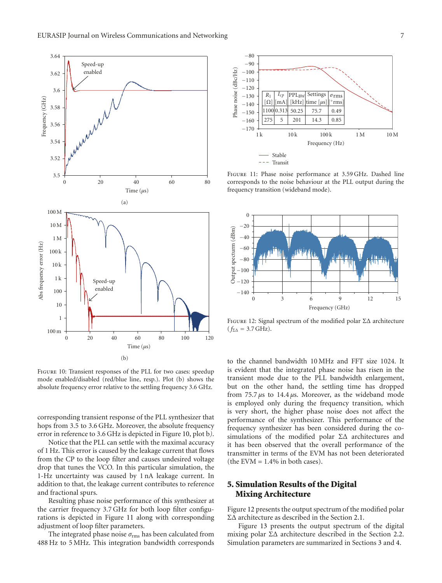

Figure 10: Transient responses of the PLL for two cases: speedup mode enabled/disabled (red/blue line, resp.). Plot (b) shows the absolute frequency error relative to the settling frequency 3.6 GHz.

corresponding transient response of the PLL synthesizer that hops from 3.5 to 3.6 GHz. Moreover, the absolute frequency error in reference to 3.6 GHz is depicted in Figure 10, plot b*)*.

Notice that the PLL can settle with the maximal accuracy of 1 Hz. This error is caused by the leakage current that flows from the CP to the loop filter and causes undesired voltage drop that tunes the VCO. In this particular simulation, the 1-Hz uncertainty was caused by 1 nA leakage current. In addition to that, the leakage current contributes to reference and fractional spurs.

Resulting phase noise performance of this synthesizer at the carrier frequency 3.7 GHz for both loop filter configurations is depicted in Figure 11 along with corresponding adjustment of loop filter parameters.

The integrated phase noise *σ*rms has been calculated from 488 Hz to 5 MHz. This integration bandwidth corresponds



Figure 11: Phase noise performance at 3.59 GHz. Dashed line corresponds to the noise behaviour at the PLL output during the frequency transition (wideband mode).



Figure 12: Signal spectrum of the modified polar ΣΔ architecture  $(f_{\Sigma\Delta} = 3.7 \text{ GHz}).$ 

to the channel bandwidth 10 MHz and FFT size 1024. It is evident that the integrated phase noise has risen in the transient mode due to the PLL bandwidth enlargement, but on the other hand, the settling time has dropped from 75.7 *μ*s to 14.4 *μ*s. Moreover, as the wideband mode is employed only during the frequency transition, which is very short, the higher phase noise does not affect the performance of the synthesizer. This performance of the frequency synthesizer has been considered during the cosimulations of the modified polar ΣΔ architectures and it has been observed that the overall performance of the transmitter in terms of the EVM has not been deteriorated (the EVM  $= 1.4\%$  in both cases).

# **5. Simulation Results of the Digital Mixing Architecture**

Figure 12 presents the output spectrum of the modified polar ΣΔ architecture as described in the Section 2.1.

Figure 13 presents the output spectrum of the digital mixing polar ΣΔ architecture described in the Section 2.2. Simulation parameters are summarized in Sections 3 and 4.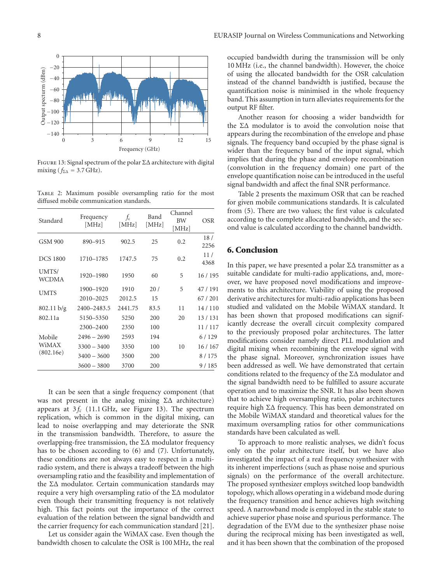

Figure 13: Signal spectrum of the polar ΣΔ architecture with digital mixing ( $f_{\Sigma\Delta}$  = 3.7 GHz).

Table 2: Maximum possible oversampling ratio for the most diffused mobile communication standards.

| Standard                     | Frequency<br>[MHz] | $f_c$<br>[MHz] | Band<br>[MHz] | Channel<br><b>BW</b><br>[MHz] | OSR         |
|------------------------------|--------------------|----------------|---------------|-------------------------------|-------------|
| <b>GSM 900</b>               | 890-915            | 902.5          | 25            | 0.2                           | 18/<br>2256 |
| <b>DCS 1800</b>              | 1710-1785          | 1747.5         | 75            | 0.2                           | 11/<br>4368 |
| UMTS/<br>WCDMA               | 1920-1980          | 1950           | 60            | 5                             | 16 / 195    |
| <b>UMTS</b>                  | 1900-1920          | 1910           | 20/           | 5                             | 47/191      |
|                              | 2010-2025          | 2012.5         | 15            |                               | 67/201      |
| 802.11 b/g                   | 2400-2483.5        | 2441.75        | 83.5          | 11                            | 14/110      |
| 802.11a                      | 5150-5350          | 5250           | 200           | 20                            | 13/131      |
|                              | 2300-2400          | 2350           | 100           |                               | 11/117      |
| Mobile<br>WiMAX<br>(802.16e) | $2496 - 2690$      | 2593           | 194           |                               | 6/129       |
|                              | $3300 - 3400$      | 3350           | 100           | 10                            | 16/167      |
|                              | $3400 - 3600$      | 3500           | 200           |                               | 8/175       |
|                              | $3600 - 3800$      | 3700           | 200           |                               | 9/185       |

It can be seen that a single frequency component (that was not present in the analog mixing ΣΔ architecture) appears at  $3f_c$  (11.1 GHz, see Figure 13). The spectrum replication, which is common in the digital mixing, can lead to noise overlapping and may deteriorate the SNR in the transmission bandwidth. Therefore, to assure the overlapping-free transmission, the  $\Sigma\Delta$  modulator frequency has to be chosen according to (6) and (7). Unfortunately, these conditions are not always easy to respect in a multiradio system, and there is always a tradeoff between the high oversampling ratio and the feasibility and implementation of the ΣΔ modulator. Certain communication standards may require a very high oversampling ratio of the ΣΔ modulator even though their transmitting frequency is not relatively high. This fact points out the importance of the correct evaluation of the relation between the signal bandwidth and the carrier frequency for each communication standard [21].

Let us consider again the WiMAX case. Even though the bandwidth chosen to calculate the OSR is 100 MHz, the real occupied bandwidth during the transmission will be only 10 MHz (i.e., the channel bandwidth). However, the choice of using the allocated bandwidth for the OSR calculation instead of the channel bandwidth is justified, because the quantification noise is minimised in the whole frequency band. This assumption in turn alleviates requirements for the output RF filter.

Another reason for choosing a wider bandwidth for the ΣΔ modulator is to avoid the convolution noise that appears during the recombination of the envelope and phase signals. The frequency band occupied by the phase signal is wider than the frequency band of the input signal, which implies that during the phase and envelope recombination (convolution in the frequency domain) one part of the envelope quantification noise can be introduced in the useful signal bandwidth and affect the final SNR performance.

Table 2 presents the maximum OSR that can be reached for given mobile communications standards. It is calculated from (5). There are two values; the first value is calculated according to the complete allocated bandwidth, and the second value is calculated according to the channel bandwidth.

#### **6. Conclusion**

In this paper, we have presented a polar  $\Sigma\Delta$  transmitter as a suitable candidate for multi-radio applications, and, moreover, we have proposed novel modifications and improvements to this architecture. Viability of using the proposed derivative architectures for multi-radio applications has been studied and validated on the Mobile WiMAX standard. It has been shown that proposed modifications can significantly decrease the overall circuit complexity compared to the previously proposed polar architectures. The latter modifications consider namely direct PLL modulation and digital mixing when recombining the envelope signal with the phase signal. Moreover, synchronization issues have been addressed as well. We have demonstrated that certain conditions related to the frequency of the ΣΔ modulator and the signal bandwidth need to be fulfilled to assure accurate operation and to maximize the SNR. It has also been shown that to achieve high oversampling ratio, polar architectures require high ΣΔ frequency. This has been demonstrated on the Mobile WiMAX standard and theoretical values for the maximum oversampling ratios for other communications standards have been calculated as well.

To approach to more realistic analyses, we didn't focus only on the polar architecture itself, but we have also investigated the impact of a real frequency synthesizer with its inherent imperfections (such as phase noise and spurious signals) on the performance of the overall architecture. The proposed synthesizer employs switched loop bandwidth topology, which allows operating in a wideband mode during the frequency transition and hence achieves high switching speed. A narrowband mode is employed in the stable state to achieve superior phase noise and spurious performance. The degradation of the EVM due to the synthesizer phase noise during the reciprocal mixing has been investigated as well, and it has been shown that the combination of the proposed